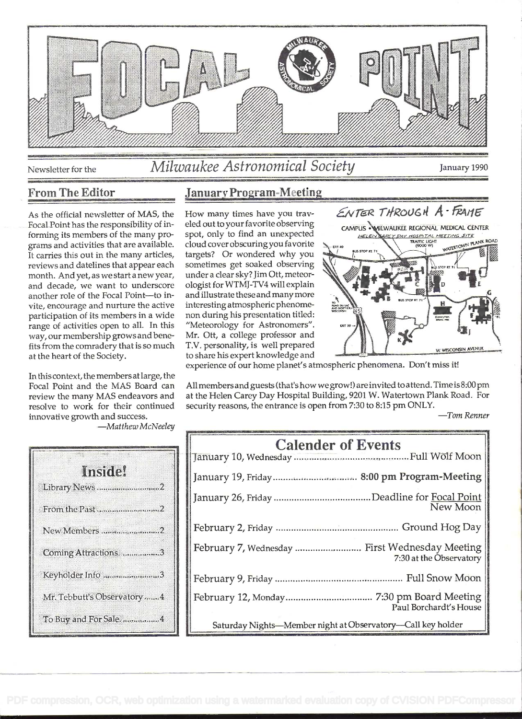

# Newsletter for the *Milwaukee Astronomical Society* January 1990

Focal Point has the responsibility of informing its members of the many programs and activities that are available. cloud cover obscuring you favorite<br>It carries this out in the many articles, targets? Or wondered why you It carries this out in the many articles, reviews and datelines that appear each month. And yet, as we start a new year, and decade, we want to underscore ologist for WTMJ-TV4 will explain<br>another role of the Focal Point—to in- and illustrate these and many more another role of the Focal Point-to invite, encourage and nurture the active participation of its members in a wide range of activities open to all. In this way, our membership grows and benefits from the comradery that is so much at the heart of the Society.

In this context, the members atlarge, the Focal Point and the MAS Board can review the many MAS endeavors and resolve to work for their continued innovative growth and success.

-Matthew McNeeley

| កេតចេង                       |
|------------------------------|
| Library News2                |
| From the Past                |
| New Members 2                |
| Coming Attractions. 3        |
| Keyholder Info3              |
| Mr. Tebbutt's Observatory  4 |
| To Buy and For Sale. 4       |

## From The Editor January Program-Meeting

eled out to your favorite observing cloud cover obscuring you favorite sometimes get soaked observing under a clear sky? Jim Ott, meteorologist for WTMJ-TV4 will explain interesting atmospheric phenomenon during his presentation titled: "Meteorology for Astronomers". Mr. Ott, a college professor and T.V. personality, is well prepared



experience of our home planet's atmospheric phenomena. Don't miss it!

All members and guests (that's how we grow!) are invited to attend. Time is  $8:00$  pm at the Helen Carey Day Hospital Building, 9201 W. Watertown Plank Road. For security reasons, the entrance is open from 7:30 to 8:15 pm ONLY.

-Tom Renner

| <b>Calender of Events</b>                                                 |
|---------------------------------------------------------------------------|
|                                                                           |
| New Moon                                                                  |
|                                                                           |
| February 7, Wednesday  First Wednesday Meeting<br>7:30 at the Observatory |
|                                                                           |
| Paul Borchardt's House                                                    |
| Saturday Nights-Member night at Observatory-Call key holder               |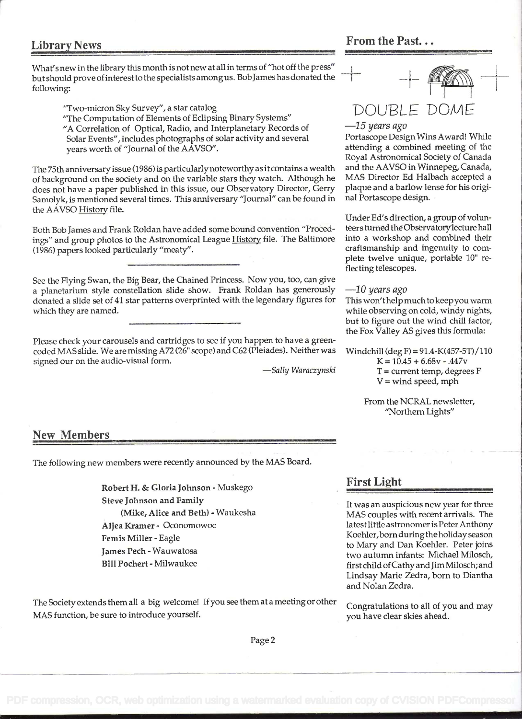What's new in the library this month is not new at all in terms of "hot off the press" but should prove of interest to the specialists amongus. Bob James has donated the following: following:  $\frac{\text{max}_{\text{max}}}{\text{sum}_{i} \text{max}_{i} \cdot \text{max}_{i} \cdot \text{max}_{i} \cdot \text{max}_{i} \cdot \text{max}_{i} \cdot \text{max}_{i} \cdot \text{max}_{i} \cdot \text{max}_{i} \cdot \text{max}_{i} \cdot \text{max}_{i} \cdot \text{max}_{i} \cdot \text{max}_{i} \cdot \text{max}_{i} \cdot \text{max}_{i} \cdot \text{max}_{i} \cdot \text{max}_{i} \cdot \text{max}_{i} \cdot \text{max}_{i} \cdot \text{max}_{i} \cdot \text{max}_{i} \cdot \text{max}_{i} \cdot$ 

"Two-micron Sky Survey", a star catalog  $DOLIBI F DOM$ 

"The Computation of Elements of Eclipsing Binary Systems"

"A Correlation of Optical, Radio, and Interplanetary Records of  $-15$  years ago<br>Solar Events", includes photographs of solar activity and several Portascope Design Wins Award! While Solar Events", includes photographs of solar activity and several Portascope Design Wins Award! While<br>years worth of "Journal of the AAVSO".<br>attending a combined meeting of the years worth of "Journal of the AAVSO".

The 75th anniversary issue (1986) is particularly noteworthy as itcontains a wealth and the AAVSO in Winnepeg, Canada, of background on the society and on the variable stars they watch. Although he MAS Director Ed Halbach accepted a<br>does not have a naper published in this issue, our Observatory Director. Gerry plaque and a barlow lense for does not have a paper published in this issue, our Observatory Director, Gerry plaque and a barlow lense for h<br>Samolyk, is mentioned several times. This anniversary "Journal" can be found in hall Portascope design. Samolyk, is mentioned several times. This anniversary "Journal" can be found in the AAVSO History file.

Both Bob James and Frank Roldan have added some bound convention "Proced- teers turned the Observatory lecture hall<br>ings" and group photos to the Astronomical League History file. The Baltimore into a workshop and combined ings" and group photos to the Astronomical League History file. The Baltimore into a workshop and combined their<br>(1986) papers looked particularly "meaty". craftsmanship and ingenuity to com-(1986) papers looked particularly "meaty".

See the Flying Swan, the Big Bear, the Chained Princess. Now you, too, can give<br>a planetarium style constellation slide show. Frank Roldan has generously  $-10$  years ago a planetarium style constellation slide show. Frank Roldan has generously  $-10$  years ago<br>donated a slide set of 41 star patterns overprinted with the legendary figures for This won't help much to keepyou warm donated a slide set of 41 star patterns overprinted with the legendary figures for which they are named. while observing on cold, windy nights,

Please check your carousels and cartridges to see if you happen to have a greencoded MAS slide. We are missing A72 (26" scope) and C62 (Pleiades). Neither was Windchill (deg F) = 91.4-K(457-5T)/110<br>signed our on the audio-visual form.  $K = 10.45 + 6.68v - .447v$ signed our on the audio-visual form.<br>
-Sally Waraczynski



Royal Astronomical Society of Canada<br>and the AAVSO in Winnepeg, Canada,

Under Ed's direction, a group of volunplete twelve unique, portable 10" re-<br>flecting telescopes.

but to figure out the wind chill factor, the Fox Valley AS gives this formula:

 $T =$  current temp, degrees F  $V =$  wind speed, mph

From the NCRAL newsletter, "Northern Lights"

### New Members

The following new members were recently announced by the MAS Board.

Robert H. & Gloria Johnson - Muskego **Ringley Rings Rings Rings Rings** Steve Johnson and Family<br>
(Mike, Alice and Beth) - Waukesha<br>
WAS couples with recent arrivals. The Aijea Kramer - Oconomowoc latest little astronomer is Peter Anthony Femis Miller - Eagle Koehler, born during the holiday season<br>to Mary and Dan Koehler. Peter joins to Mary and Dan Koehier. Peter joins James Pech - Wauwatosa autumn infants: Michael Milosch, and Dan Koehier. Peter joins James Pech - Wauwatosa autumn infants: Michael Milosch, and Jim Milosch, and Jim Milosch, and Jim Mi

The Society extends them all a big welcome! If you see them at a meeting or other Congratulations to all of you and may MAS function, be sure to introduce yourself.  $\blacksquare$  we have clear skies ahead.

MAS couples with recent arrivals. The first child of Cathy and Jim Milosch; and Lindsay Marie Zedra, born to Diantha and Nolan Zedra.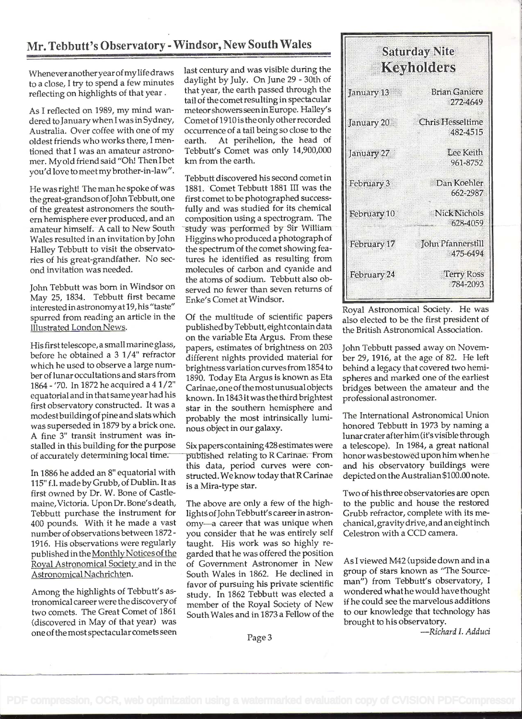## Mr. Tebbutt's Observatory - Windsor, New South Wales

Whenever anotheryear ofmy life draws to a close, I try to spend a few minutes reflecting on highlights of that year.

As I reflected on 1989, my mind wandered to January when I was in Sydney, Australia. Over coffee with one of my oldest friends who works there, I mentioned that I was an amateur astronomer. My old friend said "Oh! Then Ibet you'd love to meetmy brother-in-law".

He was right! The man he spoke of was the great-grandsonofJohn Tebbutt, one of the greatest astronomers the south em hemisphere ever produced, and an amateur himself. A cali to New South Wales resulted in an invitation by John Halley Tebbutt to visit the observatories of his great-grandfather. No second invitation was needed.

John Tebbutt was born in Windsor on May 25, 1834. Tebbutt first became interested in astronomy at 19, his "taste" spurred from reading an article in the Illustrated London News.

His first telescope, a small marine glass, before he obtained a 3 1/4" refractor which he used to observe a large number of lunar occultations and stars from 1864 - '70. In 1872 he acquired a 4 1/2" equatorial and in that same year had his first observatory constructed. It was a modestbuildingof pine and slats which was superseded in 1879 by a brick one. A fine 3" transit instrument was installed in this building for the purpose of accurately determining local time.

In 1886 he added an 8" equatorial with 115" f.l. made by Grubb, of Dublin. It as first owned by Dr. W. Bone of Castlemaine, Victoria. Upon Dr. Bone's death, Tebbutt purchase the instrument for 400 pounds. With it he made a vast number of observations between 1872- 1916. His observations were regularly published in the Monthly Notices of the Royal Astronomical Society and in the Astronomical Nachrichten.

Among the highlights of Tebbutt's astronomical career were the discovery of two comets. The Great Comet of 1861 (discovered in May of that year) was one ofthe most spectacular comets seen

last century and was visible during the daylight by July. On June 29 - 30th of that year, the earth passed through the tail of the comet resulting in spectacular meteorshowersseen in Europe. Halley's Cometof 1910 is the only other recorded occurrence of a tail being so close to the earth. At perihelion, the head of Tebbutt's Comet was only 14,900,000 km from the earth.

Tebbutt discovered his second comet in 1881. Comet Tebbutt 1881 III was the first comet to be photographed successfully and was studied for its chemical composition using a spectrogram. The study was performed by Sir William Higgins who produced a photograph of the spectrum of the comet showing features he identified as resulting from molecules of carbon and cyanide and the atoms of sodium. Tebbutt also observed no fewer than seven returns of Enke's Comet at Windsor.

Of the multitude of scientific papers published byTebbutt, eightcontain data on the variable Eta Argus. From these papers, estimates of brightness on 203 different nights provided material for brightness variation curves from 1854 to 1890. Today Eta Argus is known as Eta Carinae, one of the most unusual objects known. In 1843 it was the third brightest star in the southern hemisphere and probably the most intrinsically luminous object in our galaxy.

Six papers containing428 estimates were published relating to R Carinae. From this data, period curves were constructed. We know today that R Cannae is a Mira-type star.

The above are only a few of the highlights of John Tebbutt's career in astronomy-a career that was unique when you consider that he was entirely self taught. His work was so highly regarded that he was offered the position of Government Astronomer in New South Wales in 1862. He declined in favor of pursuing his private scientific study. In 1862 Tebbutt was elected a member of the Royal Society of New South Wales and in 1873 a Fellow of the

| <b>Saturday Nite</b><br>Keyholders |                                     |
|------------------------------------|-------------------------------------|
| January 13                         | <b>Brian Ganiere</b><br>272-4649    |
| January 20                         | <b>Chris Hesseltime</b><br>482-4515 |
| January 27                         | Lee Keith<br>961-8752               |
| February 3                         | Dan Koehler<br>662-2987             |
| February 10                        | Nick Nichols<br>628-4059            |
| February 17                        | John Pfannerstill<br>475-6494       |
| February 24                        | Terry Ross<br>784-2093              |

Royal Astronomical Society. He was also elected to be the first president of the British Astronomical Association.

John Tebbutt passed away on November 29, 1916, at the age of 82. He left behind a legacy that covered two hemispheres and marked one of the earliest bridges between the amateur and the professional astronomer.

The International Astronomical Union honored Tebbutt in 1973 by naming a lunar craterafterhim (it's visible through a telescope). In 1984, a great national honor wasbestowed upon him when he and his observatory buildings were depicted on the Australian \$100.00 note.

Two of his three observatories are open to the public and house the restored Grubb refractor, complete with its mechanical, gravity drive, and an eight inch Celestron with a CCD camera.

As I viewed M42 (upside down and in a group of stars known as "The Sourceman") from Tebbutt's observatory, <sup>I</sup> wondered what he would have thought if he could see the marvelous additions to our knowledge that technology has brought to his observatory.

-Richard I. Adduci